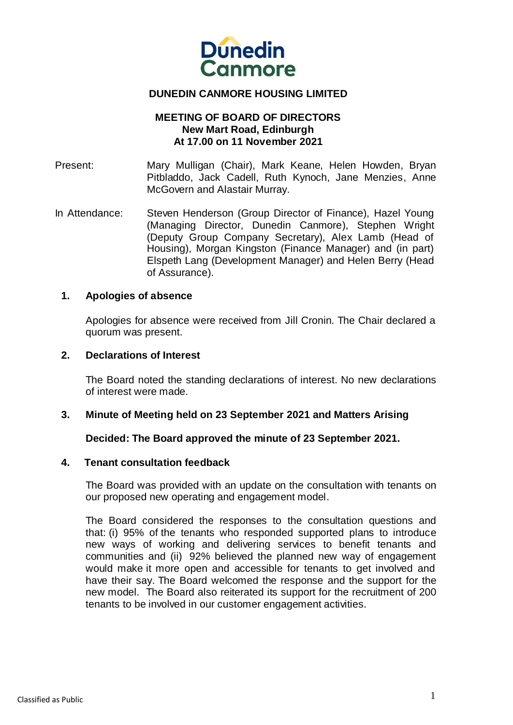

# **DUNEDIN CANMORE HOUSING LIMITED**

### **MEETING OF BOARD OF DIRECTORS New Mart Road, Edinburgh At 17.00 on 11 November 2021**

Present: Mary Mulligan (Chair), Mark Keane, Helen Howden, Bryan Pitbladdo, Jack Cadell, Ruth Kynoch, Jane Menzies, Anne McGovern and Alastair Murray.

In Attendance: Steven Henderson (Group Director of Finance), Hazel Young (Managing Director, Dunedin Canmore), Stephen Wright (Deputy Group Company Secretary), Alex Lamb (Head of Housing), Morgan Kingston (Finance Manager) and (in part) Elspeth Lang (Development Manager) and Helen Berry (Head of Assurance).

### **1. Apologies of absence**

Apologies for absence were received from Jill Cronin. The Chair declared a quorum was present.

#### **2. Declarations of Interest**

The Board noted the standing declarations of interest. No new declarations of interest were made.

### **3. Minute of Meeting held on 23 September 2021 and Matters Arising**

### **Decided: The Board approved the minute of 23 September 2021.**

#### **4. Tenant consultation feedback**

The Board was provided with an update on the consultation with tenants on our proposed new operating and engagement model.

The Board considered the responses to the consultation questions and that: (i) 95% of the tenants who responded supported plans to introduce new ways of working and delivering services to benefit tenants and communities and (ii) 92% believed the planned new way of engagement would make it more open and accessible for tenants to get involved and have their say. The Board welcomed the response and the support for the new model. The Board also reiterated its support for the recruitment of 200 tenants to be involved in our customer engagement activities.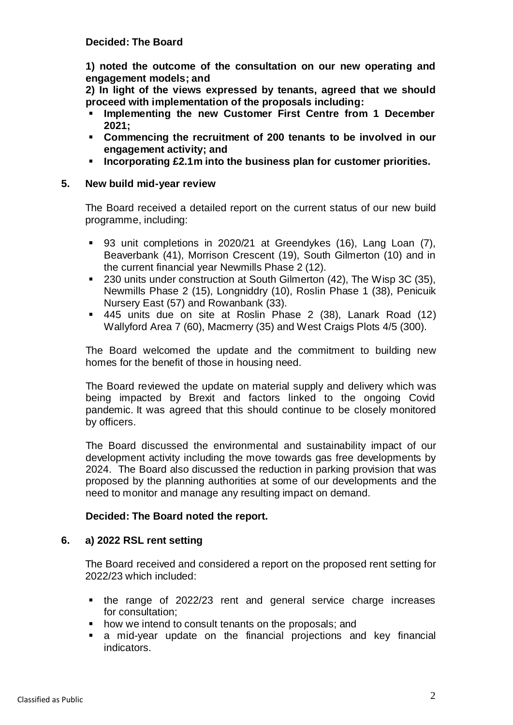# **Decided: The Board**

**1) noted the outcome of the consultation on our new operating and engagement models; and**

**2) In light of the views expressed by tenants, agreed that we should proceed with implementation of the proposals including:**

- **Implementing the new Customer First Centre from 1 December 2021;**
- **Commencing the recruitment of 200 tenants to be involved in our engagement activity; and**
- **Incorporating £2.1m into the business plan for customer priorities.**

### **5. New build mid-year review**

The Board received a detailed report on the current status of our new build programme, including:

- 93 unit completions in 2020/21 at Greendykes (16), Lang Loan (7), Beaverbank (41), Morrison Crescent (19), South Gilmerton (10) and in the current financial year Newmills Phase 2 (12).
- 230 units under construction at South Gilmerton (42), The Wisp 3C (35), Newmills Phase 2 (15), Longniddry (10), Roslin Phase 1 (38), Penicuik Nursery East (57) and Rowanbank (33).
- 445 units due on site at Roslin Phase 2 (38), Lanark Road (12) Wallyford Area 7 (60), Macmerry (35) and West Craigs Plots 4/5 (300).

The Board welcomed the update and the commitment to building new homes for the benefit of those in housing need.

The Board reviewed the update on material supply and delivery which was being impacted by Brexit and factors linked to the ongoing Covid pandemic. It was agreed that this should continue to be closely monitored by officers.

The Board discussed the environmental and sustainability impact of our development activity including the move towards gas free developments by 2024. The Board also discussed the reduction in parking provision that was proposed by the planning authorities at some of our developments and the need to monitor and manage any resulting impact on demand.

### **Decided: The Board noted the report.**

### **6. a) 2022 RSL rent setting**

The Board received and considered a report on the proposed rent setting for 2022/23 which included:

- the range of 2022/23 rent and general service charge increases for consultation;
- how we intend to consult tenants on the proposals; and
- a mid-year update on the financial projections and key financial indicators.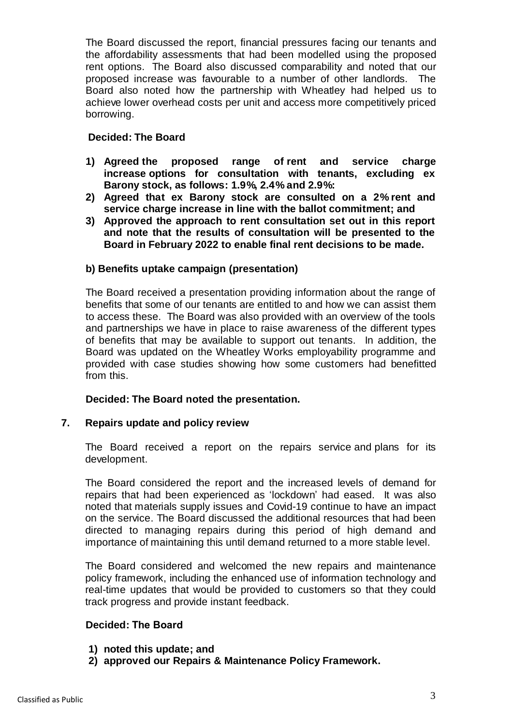The Board discussed the report, financial pressures facing our tenants and the affordability assessments that had been modelled using the proposed rent options. The Board also discussed comparability and noted that our proposed increase was favourable to a number of other landlords. The Board also noted how the partnership with Wheatley had helped us to achieve lower overhead costs per unit and access more competitively priced borrowing.

# **Decided: The Board**

- **1) Agreed the proposed range of rent and service charge increase options for consultation with tenants, excluding ex Barony stock, as follows: 1.9%, 2.4% and 2.9%:**
- **2) Agreed that ex Barony stock are consulted on a 2% rent and service charge increase in line with the ballot commitment; and**
- **3) Approved the approach to rent consultation set out in this report and note that the results of consultation will be presented to the Board in February 2022 to enable final rent decisions to be made.**

### **b) Benefits uptake campaign (presentation)**

The Board received a presentation providing information about the range of benefits that some of our tenants are entitled to and how we can assist them to access these. The Board was also provided with an overview of the tools and partnerships we have in place to raise awareness of the different types of benefits that may be available to support out tenants. In addition, the Board was updated on the Wheatley Works employability programme and provided with case studies showing how some customers had benefitted from this.

### **Decided: The Board noted the presentation.**

### **7. Repairs update and policy review**

The Board received a report on the repairs service and plans for its development.

The Board considered the report and the increased levels of demand for repairs that had been experienced as 'lockdown' had eased. It was also noted that materials supply issues and Covid-19 continue to have an impact on the service. The Board discussed the additional resources that had been directed to managing repairs during this period of high demand and importance of maintaining this until demand returned to a more stable level.

The Board considered and welcomed the new repairs and maintenance policy framework, including the enhanced use of information technology and real-time updates that would be provided to customers so that they could track progress and provide instant feedback.

# **Decided: The Board**

- **1) noted this update; and**
- **2) approved our Repairs & Maintenance Policy Framework.**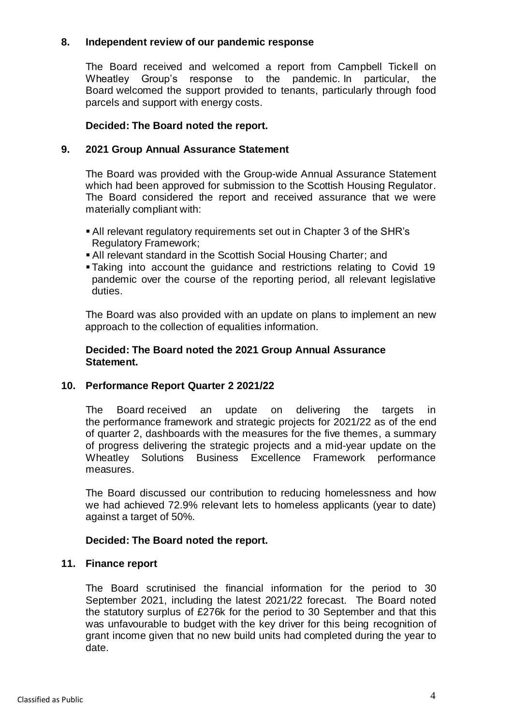# **8. Independent review of our pandemic response**

The Board received and welcomed a report from Campbell Tickell on Wheatley Group's response to the pandemic. In particular, the Board welcomed the support provided to tenants, particularly through food parcels and support with energy costs.

## **Decided: The Board noted the report.**

### **9. 2021 Group Annual Assurance Statement**

The Board was provided with the Group-wide Annual Assurance Statement which had been approved for submission to the Scottish Housing Regulator. The Board considered the report and received assurance that we were materially compliant with:

- All relevant regulatory requirements set out in Chapter 3 of the SHR's Regulatory Framework;
- All relevant standard in the Scottish Social Housing Charter; and
- Taking into account the guidance and restrictions relating to Covid 19 pandemic over the course of the reporting period, all relevant legislative duties.

The Board was also provided with an update on plans to implement an new approach to the collection of equalities information.

### **Decided: The Board noted the 2021 Group Annual Assurance Statement.**

# **10. Performance Report Quarter 2 2021/22**

The Board received an update on delivering the targets in the performance framework and strategic projects for 2021/22 as of the end of quarter 2, dashboards with the measures for the five themes, a summary of progress delivering the strategic projects and a mid-year update on the Wheatley Solutions Business Excellence Framework performance measures.

The Board discussed our contribution to reducing homelessness and how we had achieved 72.9% relevant lets to homeless applicants (year to date) against a target of 50%.

# **Decided: The Board noted the report.**

### **11. Finance report**

The Board scrutinised the financial information for the period to 30 September 2021, including the latest 2021/22 forecast. The Board noted the statutory surplus of £276k for the period to 30 September and that this was unfavourable to budget with the key driver for this being recognition of grant income given that no new build units had completed during the year to date.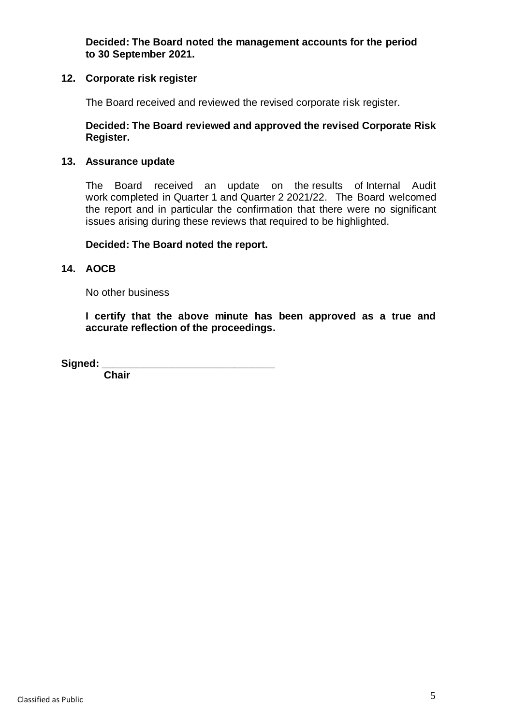**Decided: The Board noted the management accounts for the period to 30 September 2021.**

# **12. Corporate risk register**

The Board received and reviewed the revised corporate risk register.

### **Decided: The Board reviewed and approved the revised Corporate Risk Register.**

### **13. Assurance update**

The Board received an update on the results of Internal Audit work completed in Quarter 1 and Quarter 2 2021/22. The Board welcomed the report and in particular the confirmation that there were no significant issues arising during these reviews that required to be highlighted.

### **Decided: The Board noted the report.**

# **14. AOCB**

No other business

**I certify that the above minute has been approved as a true and accurate reflection of the proceedings.**

 $Signed:$ 

 **Chair**